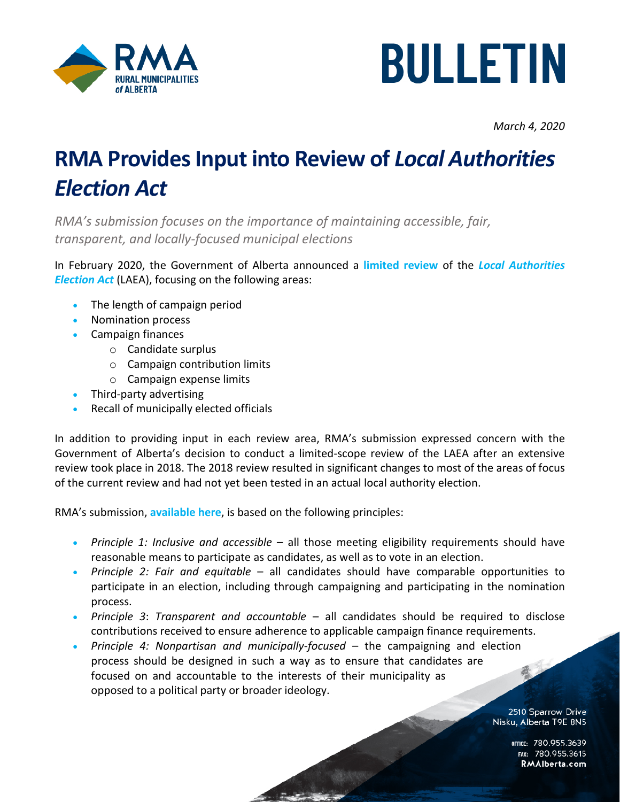



*March 4, 2020*

## **RMA Provides Input into Review of** *Local Authorities Election Act*

*RMA's submission focuses on the importance of maintaining accessible, fair, transparent, and locally-focused municipal elections*

In February 2020, the Government of Alberta announced a **[limited review](https://rmalberta.com/news/consultation-underway-on-local-authorities-election-act/)** of the *[Local Authorities](http://www.qp.alberta.ca/documents/Acts/L21.pdf)  [Election Act](http://www.qp.alberta.ca/documents/Acts/L21.pdf)* (LAEA), focusing on the following areas:

- The length of campaign period
- Nomination process
- Campaign finances
	- o Candidate surplus
	- o Campaign contribution limits
	- o Campaign expense limits
- Third-party advertising
- Recall of municipally elected officials

In addition to providing input in each review area, RMA's submission expressed concern with the Government of Alberta's decision to conduct a limited-scope review of the LAEA after an extensive review took place in 2018. The 2018 review resulted in significant changes to most of the areas of focus of the current review and had not yet been tested in an actual local authority election.

RMA's submission, **[available here](https://rmalberta.com/wp-content/uploads/2020/03/03-04-20-RMA-Submission-LAEA-Review.pdf)**, is based on the following principles:

- *Principle 1: Inclusive and accessible* all those meeting eligibility requirements should have reasonable means to participate as candidates, as well as to vote in an election.
- *Principle 2: Fair and equitable* all candidates should have comparable opportunities to participate in an election, including through campaigning and participating in the nomination process.
- *Principle 3*: *Transparent and accountable* all candidates should be required to disclose contributions received to ensure adherence to applicable campaign finance requirements.
- *Principle 4: Nonpartisan and municipally-focused* the campaigning and election process should be designed in such a way as to ensure that candidates are focused on and accountable to the interests of their municipality as opposed to a political party or broader ideology.

2510 Sparrow Drive Nisku, Alberta T9E 8N5

> OFFICE: 780.955.3639<br>15.780.955.3615 RMAIberta.com